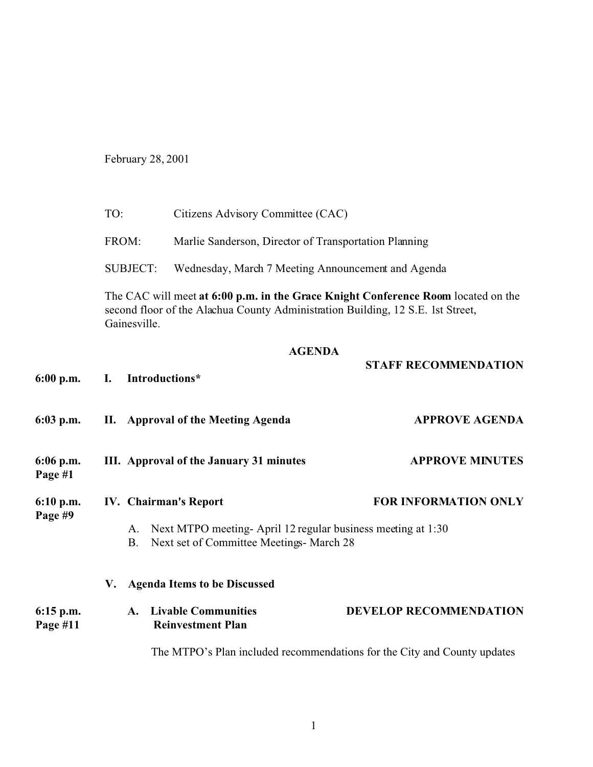February 28, 2001

|                         | TO:                                                                                                                                                                                  | Citizens Advisory Committee (CAC)                                                                       |                               |  |
|-------------------------|--------------------------------------------------------------------------------------------------------------------------------------------------------------------------------------|---------------------------------------------------------------------------------------------------------|-------------------------------|--|
|                         | FROM:                                                                                                                                                                                | Marlie Sanderson, Director of Transportation Planning                                                   |                               |  |
|                         | <b>SUBJECT:</b>                                                                                                                                                                      | Wednesday, March 7 Meeting Announcement and Agenda                                                      |                               |  |
|                         | The CAC will meet at 6:00 p.m. in the Grace Knight Conference Room located on the<br>second floor of the Alachua County Administration Building, 12 S.E. 1st Street,<br>Gainesville. |                                                                                                         |                               |  |
|                         |                                                                                                                                                                                      | <b>AGENDA</b>                                                                                           |                               |  |
| $6:00$ p.m.             | Introductions*<br>L.                                                                                                                                                                 |                                                                                                         | <b>STAFF RECOMMENDATION</b>   |  |
| $6:03$ p.m.             |                                                                                                                                                                                      | II. Approval of the Meeting Agenda                                                                      | <b>APPROVE AGENDA</b>         |  |
| 6:06 p.m.<br>Page #1    | III. Approval of the January 31 minutes                                                                                                                                              |                                                                                                         | <b>APPROVE MINUTES</b>        |  |
| 6:10 p.m.<br>Page #9    | IV. Chairman's Report                                                                                                                                                                |                                                                                                         | <b>FOR INFORMATION ONLY</b>   |  |
|                         | A.<br><b>B.</b>                                                                                                                                                                      | Next MTPO meeting-April 12 regular business meeting at 1:30<br>Next set of Committee Meetings- March 28 |                               |  |
|                         | V.                                                                                                                                                                                   | <b>Agenda Items to be Discussed</b>                                                                     |                               |  |
| $6:15$ p.m.<br>Page #11 | A.                                                                                                                                                                                   | <b>Livable Communities</b><br><b>Reinvestment Plan</b>                                                  | <b>DEVELOP RECOMMENDATION</b> |  |
|                         |                                                                                                                                                                                      | The MTPO's Plan included recommendations for the City and County updates                                |                               |  |